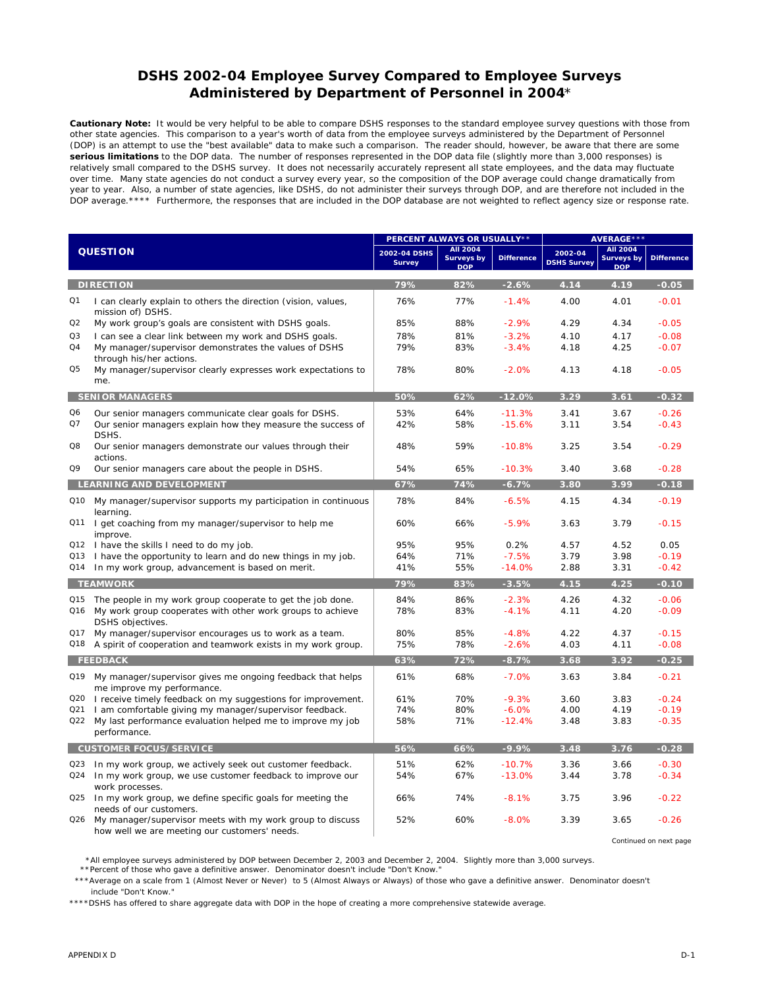## **DSHS 2002-04 Employee Survey Compared to Employee Surveys Administered by Department of Personnel in 2004**\*

**Cautionary Note:** It would be very helpful to be able to compare DSHS responses to the standard employee survey questions with those from other state agencies. This comparison to a year's worth of data from the employee surveys administered by the Department of Personnel (DOP) is an attempt to use the "best available" data to make such a comparison. The reader should, however, be aware that there are some **serious limitations** to the DOP data. The number of responses represented in the DOP data file (slightly more than 3,000 responses) is relatively small compared to the DSHS survey. It does not necessarily accurately represent all state employees, and the data may fluctuate over time. Many state agencies do not conduct a survey every year, so the composition of the DOP average could change dramatically from year to year. Also, a number of state agencies, like DSHS, do not administer their surveys through DOP, and are therefore not included in the DOP average.\*\*\*\* Furthermore, the responses that are included in the DOP database are not weighted to reflect agency size or response rate.

| <b>QUESTION</b>               |                                                                                                                                                     | PERCENT ALWAYS OR USUALLY**   |                                                    |                      | <b>AVERAGE ***</b>            |                                                    |                    |
|-------------------------------|-----------------------------------------------------------------------------------------------------------------------------------------------------|-------------------------------|----------------------------------------------------|----------------------|-------------------------------|----------------------------------------------------|--------------------|
|                               |                                                                                                                                                     | 2002-04 DSHS<br><b>Survey</b> | <b>AII 2004</b><br><b>Surveys by</b><br><b>DOP</b> | <b>Difference</b>    | 2002-04<br><b>DSHS Survey</b> | <b>AII 2004</b><br><b>Surveys by</b><br><b>DOP</b> | <b>Difference</b>  |
|                               | <b>DIRECTION</b>                                                                                                                                    | 79%                           | 82%                                                | $-2.6%$              | 4.14                          | 4.19                                               | $-0.05$            |
| Q1                            | I can clearly explain to others the direction (vision, values,<br>mission of) DSHS.                                                                 | 76%                           | 77%                                                | $-1.4%$              | 4.00                          | 4.01                                               | $-0.01$            |
| Q2                            | My work group's goals are consistent with DSHS goals.                                                                                               | 85%                           | 88%                                                | $-2.9%$              | 4.29                          | 4.34                                               | $-0.05$            |
| Q <sub>3</sub>                | I can see a clear link between my work and DSHS goals.                                                                                              | 78%                           | 81%                                                | $-3.2%$              | 4.10                          | 4.17                                               | $-0.08$            |
| Q4                            | My manager/supervisor demonstrates the values of DSHS<br>through his/her actions.                                                                   | 79%                           | 83%                                                | $-3.4%$              | 4.18                          | 4.25                                               | $-0.07$            |
| Q <sub>5</sub>                | My manager/supervisor clearly expresses work expectations to<br>me.                                                                                 | 78%                           | 80%                                                | $-2.0%$              | 4.13                          | 4.18                                               | $-0.05$            |
| <b>SENIOR MANAGERS</b>        |                                                                                                                                                     | 50%                           | 62%                                                | $-12.0%$             | 3.29                          | 3.61                                               | $-0.32$            |
| Q <sub>6</sub>                | Our senior managers communicate clear goals for DSHS.                                                                                               | 53%                           | 64%                                                | $-11.3%$             | 3.41                          | 3.67                                               | $-0.26$            |
| Q7                            | Our senior managers explain how they measure the success of<br>DSHS.                                                                                | 42%                           | 58%                                                | $-15.6%$             | 3.11                          | 3.54                                               | $-0.43$            |
| Q8                            | Our senior managers demonstrate our values through their<br>actions.                                                                                | 48%                           | 59%                                                | $-10.8%$             | 3.25                          | 3.54                                               | $-0.29$            |
| Q9                            | Our senior managers care about the people in DSHS.                                                                                                  | 54%                           | 65%                                                | $-10.3%$             | 3.40                          | 3.68                                               | $-0.28$            |
|                               | LEARNING AND DEVELOPMENT                                                                                                                            | 67%                           | 74%                                                | $-6.7%$              | 3.80                          | 3.99                                               | $-0.18$            |
|                               | Q10 My manager/supervisor supports my participation in continuous<br>learning.                                                                      | 78%                           | 84%                                                | $-6.5%$              | 4.15                          | 4.34                                               | $-0.19$            |
| Q11                           | I get coaching from my manager/supervisor to help me<br>improve.                                                                                    | 60%                           | 66%                                                | $-5.9%$              | 3.63                          | 3.79                                               | $-0.15$            |
|                               | Q12 I have the skills I need to do my job.                                                                                                          | 95%                           | 95%                                                | 0.2%                 | 4.57                          | 4.52                                               | 0.05               |
| Q13                           | I have the opportunity to learn and do new things in my job.                                                                                        | 64%                           | 71%                                                | $-7.5%$              | 3.79                          | 3.98                                               | $-0.19$            |
| Q14                           | In my work group, advancement is based on merit.                                                                                                    | 41%                           | 55%                                                | $-14.0%$             | 2.88                          | 3.31                                               | $-0.42$            |
| <b>TEAMWORK</b>               |                                                                                                                                                     | 79%                           | 83%                                                | $-3.5%$              | 4.15                          | 4.25                                               | $-0.10$            |
| Q15<br>Q16                    | The people in my work group cooperate to get the job done.<br>My work group cooperates with other work groups to achieve<br><b>DSHS</b> objectives. | 84%<br>78%                    | 86%<br>83%                                         | $-2.3%$<br>$-4.1%$   | 4.26<br>4.11                  | 4.32<br>4.20                                       | $-0.06$<br>$-0.09$ |
| Q17                           | My manager/supervisor encourages us to work as a team.                                                                                              | 80%                           | 85%                                                | $-4.8%$              | 4.22                          | 4.37                                               | $-0.15$            |
| Q18                           | A spirit of cooperation and teamwork exists in my work group.                                                                                       | 75%                           | 78%                                                | $-2.6%$              | 4.03                          | 4.11                                               | $-0.08$            |
| <b>FEEDBACK</b>               |                                                                                                                                                     | 63%                           | 72%                                                | $-8.7%$              | 3.68                          | 3.92                                               | $-0.25$            |
| Q19                           | My manager/supervisor gives me ongoing feedback that helps<br>me improve my performance.                                                            | 61%                           | 68%                                                | $-7.0%$              | 3.63                          | 3.84                                               | $-0.21$            |
| Q20                           | I receive timely feedback on my suggestions for improvement.                                                                                        | 61%                           | 70%                                                | $-9.3%$              | 3.60                          | 3.83                                               | $-0.24$            |
| Q21                           | I am comfortable giving my manager/supervisor feedback.                                                                                             | 74%                           | 80%                                                | $-6.0%$              | 4.00                          | 4.19                                               | $-0.19$            |
| Q22                           | My last performance evaluation helped me to improve my job<br>performance.                                                                          | 58%                           | 71%                                                | $-12.4%$             | 3.48                          | 3.83                                               | $-0.35$            |
| <b>CUSTOMER FOCUS/SERVICE</b> |                                                                                                                                                     | 56%                           | 66%                                                | $-9.9%$              | 3.48                          | 3.76                                               | $-0.28$            |
| Q23<br>Q24                    | In my work group, we actively seek out customer feedback.<br>In my work group, we use customer feedback to improve our<br>work processes.           | 51%<br>54%                    | 62%<br>67%                                         | $-10.7%$<br>$-13.0%$ | 3.36<br>3.44                  | 3.66<br>3.78                                       | $-0.30$<br>$-0.34$ |
| Q25                           | In my work group, we define specific goals for meeting the<br>needs of our customers.                                                               | 66%                           | 74%                                                | $-8.1%$              | 3.75                          | 3.96                                               | $-0.22$            |
| Q <sub>26</sub>               | My manager/supervisor meets with my work group to discuss<br>how well we are meeting our customers' needs.                                          | 52%                           | 60%                                                | $-8.0%$              | 3.39                          | 3.65                                               | $-0.26$            |

*Continued on next page*

\*All employee surveys administered by DOP between December 2, 2003 and December 2, 2004. Slightly more than 3,000 surveys.

\*\*Percent of those who gave a definitive answer. Denominator doesn't include "Don't Know."

 \*\*\*Average on a scale from 1 (Almost Never or Never) to 5 (Almost Always or Always) of those who gave a definitive answer. Denominator doesn't include "Don't Know."

\*\*\*\*DSHS has offered to share aggregate data with DOP in the hope of creating a more comprehensive statewide average.